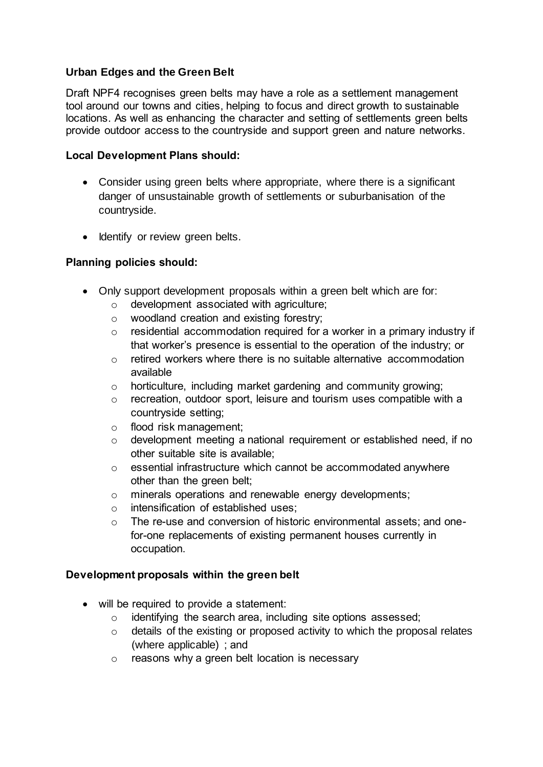# **Urban Edges and the Green Belt**

Draft NPF4 recognises green belts may have a role as a settlement management tool around our towns and cities, helping to focus and direct growth to sustainable locations. As well as enhancing the character and setting of settlements green belts provide outdoor access to the countryside and support green and nature networks.

### **Local Development Plans should:**

- Consider using green belts where appropriate, where there is a significant danger of unsustainable growth of settlements or suburbanisation of the countryside.
- Identify or review green belts.

# **Planning policies should:**

- Only support development proposals within a green belt which are for:
	- o development associated with agriculture;
	- o woodland creation and existing forestry;
	- $\circ$  residential accommodation required for a worker in a primary industry if that worker's presence is essential to the operation of the industry; or
	- $\circ$  retired workers where there is no suitable alternative accommodation available
	- o horticulture, including market gardening and community growing;
	- o recreation, outdoor sport, leisure and tourism uses compatible with a countryside setting;
	- o flood risk management;
	- o development meeting a national requirement or established need, if no other suitable site is available;
	- o essential infrastructure which cannot be accommodated anywhere other than the green belt;
	- o minerals operations and renewable energy developments;
	- o intensification of established uses;
	- o The re-use and conversion of historic environmental assets; and onefor-one replacements of existing permanent houses currently in occupation.

### **Development proposals within the green belt**

- will be required to provide a statement:
	- o identifying the search area, including site options assessed;
	- o details of the existing or proposed activity to which the proposal relates (where applicable) ; and
	- o reasons why a green belt location is necessary